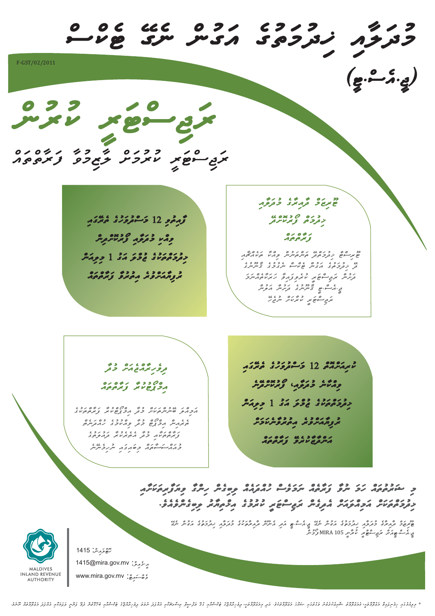*mudwlWai Kidumwtuge awgunc negE Tekcsc* F-GST/02/2011 *)jI.aesc.TI(* rwyd yn gy *rwjiscTwrI kurumwSc lWzimuvW fwrWtctwac ޓޫރިޒަމް ދާއިރާގެ މުދަލާއި ފާއިތުވި 12 މަސްދުވަހުގެ ތެރޭގައި ޚިދުމަތް ފޯރުކޮށްދޭ* مده د د و منظم مدين *ފަރާތްތައް ޚިދުމަތްތަކުގެ ޖުމްލަ އަގު 1 މިލިއަން ޓޫރިސްޓް ޚިދުމަތްދޭ ތަންތަނުން ވިއްކާ ތަކެއްޗާއި ދޭ ޚިދުމަތުގެ އަގުން ޓެކްސް ނެގުމުގެ ޤާނޫނުގެ ރުފިޔާއަށްވުރެ އިތުރުވާ ފަރާތްތައް ދަށުން ރަޖިސްޓަރީ ކުރެވިފައިވާ ހަރަކާތެއްނަމަ ޖ.ީއެސ.ްޓީ ޤާނޫނުގެ ދަށުން އަލުން ރަޖިސްޓަރީ ކުރާކަށް ނުޖެހޭ ކުރިއަށްއޮތް 12 މަސްދުވަހުގެ ތެރޭގައި ދިވެހިރާއްޖެއަށް މުދާ ވިއްކާނެ މުދަލާއ*٬*ި ފޯރުކޮށްދޭނެ އިމްޕޯޓުކުރާ ފަރާތްތައް ޚިދުމަތްތަކުގެ ޖުމްލަ އަގު 1 މިލިއަން އަމިއްލަ ބޭނުންތަކަށް މުދާ އިމްޕޯޓްކުރާ ފަރާތްތަކުގެ ރުފިޔާއަށްވުރެ އިތުރުވާނެކަމަށް ތެރެއިން އިމްޕޯޓް މުދާ ވިއްކުމުގެ ހުއްދަނެތް ފަރާތްތަކާއި މުދާ އެތެރެކުރާ ދައުލަތުގެ އަންދާޒާކުރެވޭ ފަރާތްތައް މުއައްސަސާތައް މިބައިގައި ނުހިމެނޭނެ މި ޝަރުތުތައް ހަމަ ނުވާ ފަރާތެއް ނަމަވެސް ހުއްދައެއް ލިބިގެން ހިންގާ ވިޔަފާރިތަކަށާއި ޚިދުމަތްތަކަށް އަމިއްލައަށް އެދިގެން ރަޖިސްޓަރީ ކުރުމުގެ އިޚްތިޔާރު ލިބިގެންވެއެވ.ެ* i كەتمەنگە ئۇي ئەربىسى مە*ردىگە ئۇيدىكمۇنىڭ 3 مەربىرى بوتىل بىرى*<br>MIRA 105 ك<sup>و</sup>ش  *TUrizwmc dWairWge mudwlWai Kidumwtuge awgunc negE jI.aesc.TI awdi aenUnc dWairWtwkuge*  ي ,كمك بيو ت*مكي سكو* بيوت 105 MIRA *و*كر مربع السي 1415 : *hoTclwainc* 1415@mira.gov.mv : *aI-meailc* ة مص*رية*: www.mira.gov.mv **AUTHORITY**